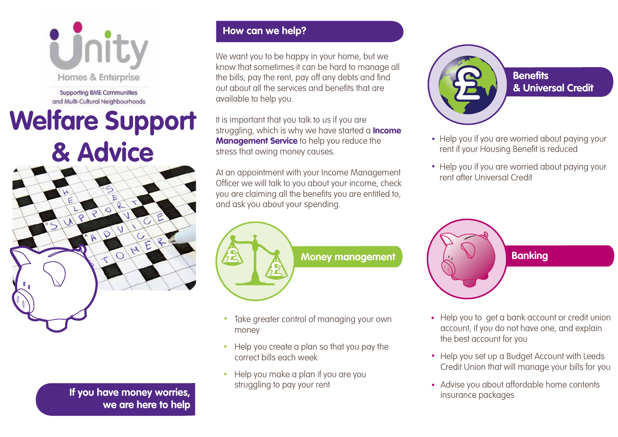

Supporting BME Communities and Multi-Cultural Neighbourhoods

# **Welfare Support & Advice**



**If you have money worries, we are here to help**

#### **How can we help?**

We want you to be happy in your home, but we know that sometimes it can be hard to manage all the bills, pay the rent, pay off any debts and find out about all the services and benefits that are available to help you.

It is important that you talk to us if you are struggling, which is why we have started a **Income Management Service** to help you reduce the stress that owing money causes.

At an appointment with your Income Management Officer we will talk to you about your income, check you are claiming all the benefits you are entitled to, and ask you about your spending.



- Take greater control of managing your own money
- Help you create a plan so that you pay the correct bills each week
- Help you make a plan if you are you struggling to pay your rent



- **& Universal Credit**
- Help you if you are worried about paying your rent if your Housing Benefit is reduced
- Help you if you are worried about paying your rent after Universal Credit



- Help you to get a bank account or credit union account, if you do not have one, and explain the best account for you
- Help you set up a Budget Account with Leeds Credit Union that will manage your bills for you
- Advise you about affordable home contents insurance packages